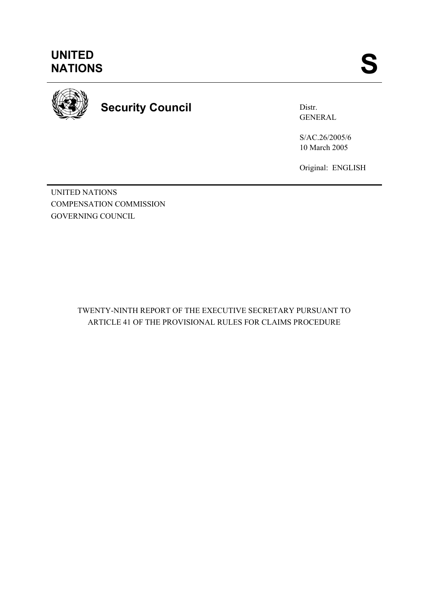

**Security Council** 

Distr. GENERAL

S/AC.26/2005/6 10 March 2005

Original: ENGLISH

UNITED NATIONS COMPENSATION COMMISSION GOVERNING COUNCIL

> TWENTY-NINTH REPORT OF THE EXECUTIVE SECRETARY PURSUANT TO ARTICLE 41 OF THE PROVISIONAL RULES FOR CLAIMS PROCEDURE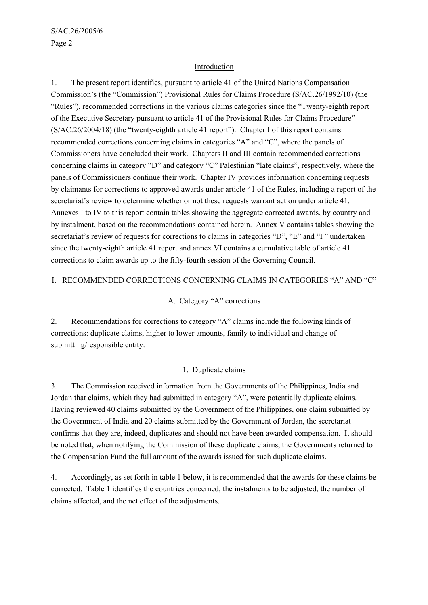# Introduction

1. The present report identifies, pursuant to article 41 of the United Nations Compensation Commission's (the "Commission") Provisional Rules for Claims Procedure (S/AC.26/1992/10) (the "Rules"), recommended corrections in the various claims categories since the "Twenty-eighth report of the Executive Secretary pursuant to article 41 of the Provisional Rules for Claims Procedure" (S/AC.26/2004/18) (the "twenty-eighth article 41 report"). Chapter I of this report contains recommended corrections concerning claims in categories "A" and "C", where the panels of Commissioners have concluded their work. Chapters II and III contain recommended corrections concerning claims in category "D" and category "C" Palestinian "late claims", respectively, where the panels of Commissioners continue their work. Chapter IV provides information concerning requests by claimants for corrections to approved awards under article 41 of the Rules, including a report of the secretariat's review to determine whether or not these requests warrant action under article 41. Annexes I to IV to this report contain tables showing the aggregate corrected awards, by country and by instalment, based on the recommendations contained herein. Annex V contains tables showing the secretariat's review of requests for corrections to claims in categories "D", "E" and "F" undertaken since the twenty-eighth article 41 report and annex VI contains a cumulative table of article 41 corrections to claim awards up to the fifty-fourth session of the Governing Council.

# I. RECOMMENDED CORRECTIONS CONCERNING CLAIMS IN CATEGORIES "A" AND "C"

#### A. Category "A" corrections

2. Recommendations for corrections to category "A" claims include the following kinds of corrections: duplicate claims, higher to lower amounts, family to individual and change of submitting/responsible entity.

# 1. Duplicate claims

3. The Commission received information from the Governments of the Philippines, India and Jordan that claims, which they had submitted in category "A", were potentially duplicate claims. Having reviewed 40 claims submitted by the Government of the Philippines, one claim submitted by the Government of India and 20 claims submitted by the Government of Jordan, the secretariat confirms that they are, indeed, duplicates and should not have been awarded compensation. It should be noted that, when notifying the Commission of these duplicate claims, the Governments returned to the Compensation Fund the full amount of the awards issued for such duplicate claims.

4. Accordingly, as set forth in table 1 below, it is recommended that the awards for these claims be corrected. Table 1 identifies the countries concerned, the instalments to be adjusted, the number of claims affected, and the net effect of the adjustments.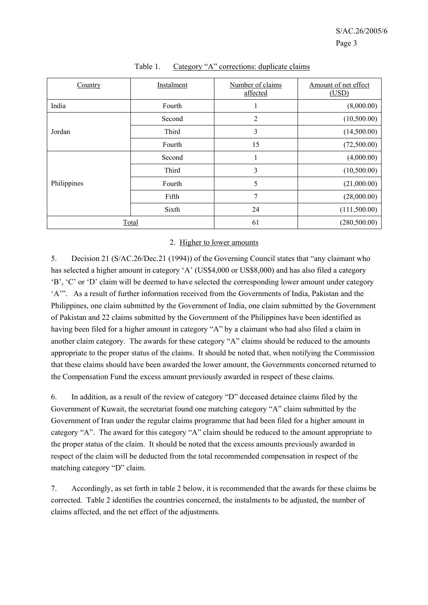| Country     | Instalment | Number of claims<br>affected | Amount of net effect<br>(USD) |
|-------------|------------|------------------------------|-------------------------------|
| India       | Fourth     | 1                            | (8,000.00)                    |
|             | Second     | $\overline{2}$               | (10,500.00)                   |
| Jordan      | Third      | 3                            | (14,500.00)                   |
|             | Fourth     | 15                           | (72,500.00)                   |
|             | Second     |                              | (4,000.00)                    |
|             | Third      | 3                            | (10,500.00)                   |
| Philippines | Fourth     | 5                            | (21,000.00)                   |
|             | Fifth      | 7                            | (28,000.00)                   |
|             | Sixth      | 24                           | (111,500.00)                  |
| Total       |            | 61                           | (280, 500.00)                 |

#### Table 1. Category "A" corrections: duplicate claims

#### 2. Higher to lower amounts

5. Decision 21 (S/AC.26/Dec.21 (1994)) of the Governing Council states that "any claimant who has selected a higher amount in category 'A' (US\$4,000 or US\$8,000) and has also filed a category 'B', 'C' or 'D' claim will be deemed to have selected the corresponding lower amount under category 'A'". As a result of further information received from the Governments of India, Pakistan and the Philippines, one claim submitted by the Government of India, one claim submitted by the Government of Pakistan and 22 claims submitted by the Government of the Philippines have been identified as having been filed for a higher amount in category "A" by a claimant who had also filed a claim in another claim category. The awards for these category "A" claims should be reduced to the amounts appropriate to the proper status of the claims. It should be noted that, when notifying the Commission that these claims should have been awarded the lower amount, the Governments concerned returned to the Compensation Fund the excess amount previously awarded in respect of these claims.

6. In addition, as a result of the review of category "D" deceased detainee claims filed by the Government of Kuwait, the secretariat found one matching category "A" claim submitted by the Government of Iran under the regular claims programme that had been filed for a higher amount in category "A". The award for this category "A" claim should be reduced to the amount appropriate to the proper status of the claim. It should be noted that the excess amounts previously awarded in respect of the claim will be deducted from the total recommended compensation in respect of the matching category "D" claim.

7. Accordingly, as set forth in table 2 below, it is recommended that the awards for these claims be corrected. Table 2 identifies the countries concerned, the instalments to be adjusted, the number of claims affected, and the net effect of the adjustments.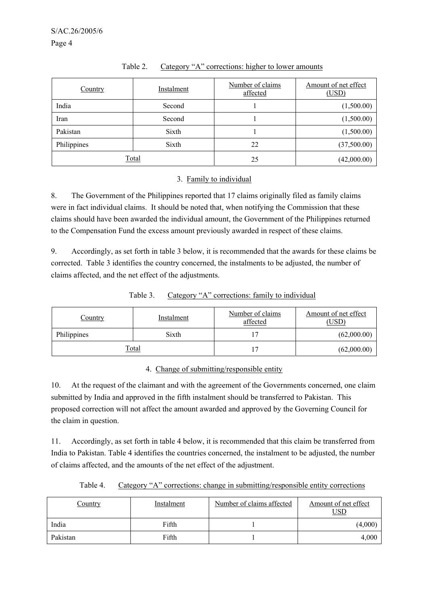| Country     | Instalment | Number of claims<br>affected | Amount of net effect<br>(USD) |
|-------------|------------|------------------------------|-------------------------------|
| India       | Second     |                              | (1,500.00)                    |
| Iran        | Second     |                              | (1,500.00)                    |
| Pakistan    | Sixth      |                              | (1,500.00)                    |
| Philippines | Sixth      | 22                           | (37,500.00)                   |
|             | Total      | 25                           | (42,000.00)                   |

# Table 2. Category "A" corrections: higher to lower amounts

# 3. Family to individual

8. The Government of the Philippines reported that 17 claims originally filed as family claims were in fact individual claims. It should be noted that, when notifying the Commission that these claims should have been awarded the individual amount, the Government of the Philippines returned to the Compensation Fund the excess amount previously awarded in respect of these claims.

9. Accordingly, as set forth in table 3 below, it is recommended that the awards for these claims be corrected. Table 3 identifies the country concerned, the instalments to be adjusted, the number of claims affected, and the net effect of the adjustments.

| Table 3. | Category "A" corrections: family to individual |  |
|----------|------------------------------------------------|--|
|          |                                                |  |

| <u>Country</u> | Instalment | Number of claims<br>affected | Amount of net effect<br>(USD) |
|----------------|------------|------------------------------|-------------------------------|
| Philippines    | Sixth      |                              | (62,000.00)                   |
| <b>Total</b>   |            |                              | (62,000.00)                   |

# 4. Change of submitting/responsible entity

10. At the request of the claimant and with the agreement of the Governments concerned, one claim submitted by India and approved in the fifth instalment should be transferred to Pakistan. This proposed correction will not affect the amount awarded and approved by the Governing Council for the claim in question.

11. Accordingly, as set forth in table 4 below, it is recommended that this claim be transferred from India to Pakistan. Table 4 identifies the countries concerned, the instalment to be adjusted, the number of claims affected, and the amounts of the net effect of the adjustment.

| <u>Country</u> | Instalment | Number of claims affected | Amount of net effect<br>USD |
|----------------|------------|---------------------------|-----------------------------|
| India          | Fifth      |                           | (4,000)                     |
| Pakistan       | Fifth      |                           | 4,000                       |

Table 4. Category "A" corrections: change in submitting/responsible entity corrections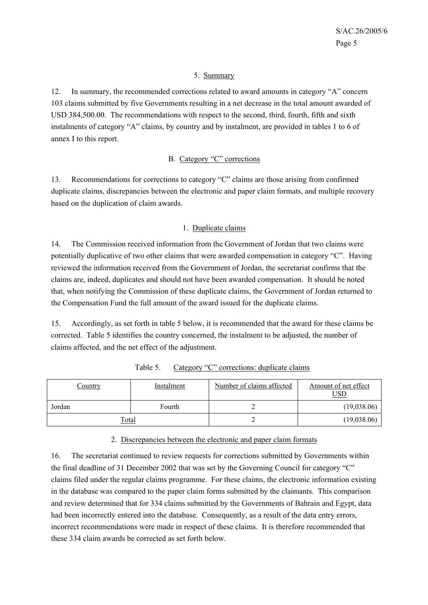# 5. Summary

12. In summary, the recommended corrections related to award amounts in category "A" concern 103 claims submitted by five Governments resulting in a net decrease in the total amount awarded of USD 384,500.00. The recommendations with respect to the second, third, fourth, fifth and sixth instalments of category "A" claims, by country and by instalment, are provided in tables 1 to 6 of annex I to this report.

# B. Category "C" corrections

13. Recommendations for corrections to category "C" claims are those arising from confirmed duplicate claims, discrepancies between the electronic and paper claim formats, and multiple recovery based on the duplication of claim awards.

#### 1. Duplicate claims

14. The Commission received information from the Government of Jordan that two claims were potentially duplicative of two other claims that were awarded compensation in category "C". Having reviewed the information received from the Government of Jordan, the secretariat confirms that the claims are, indeed, duplicates and should not have been awarded compensation. It should be noted that, when notifying the Commission of these duplicate claims, the Government of Jordan returned to the Compensation Fund the full amount of the award issued for the duplicate claims.

15. Accordingly, as set forth in table 5 below, it is recommended that the award for these claims be corrected. Table 5 identifies the country concerned, the instalment to be adjusted, the number of claims affected, and the net effect of the adjustment.

| <u>Country</u> | Instalment | Number of claims affected | Amount of net effect<br>USD |
|----------------|------------|---------------------------|-----------------------------|
| Jordan         | Fourth     |                           | (19,038.06)                 |
| Total          |            |                           | (19,038.06)                 |

Table 5. Category "C" corrections: duplicate claims

# 2. Discrepancies between the electronic and paper claim formats

16. The secretariat continued to review requests for corrections submitted by Governments within the final deadline of 31 December 2002 that was set by the Governing Council for category "C" claims filed under the regular claims programme. For these claims, the electronic information existing in the database was compared to the paper claim forms submitted by the claimants. This comparison and review determined that for 334 claims submitted by the Governments of Bahrain and Egypt, data had been incorrectly entered into the database. Consequently, as a result of the data entry errors, incorrect recommendations were made in respect of these claims. It is therefore recommended that these 334 claim awards be corrected as set forth below.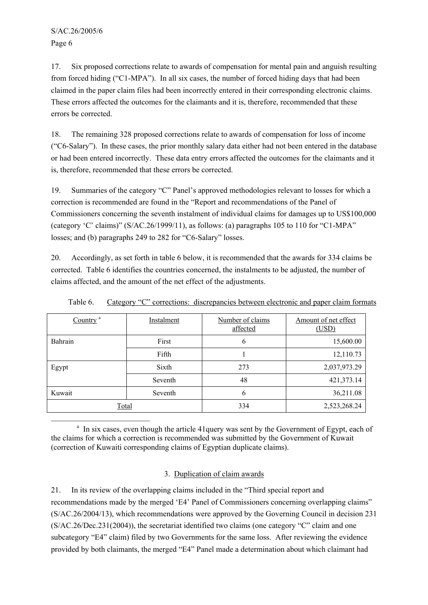$\mathcal{L}_\text{max}$ 

17. Six proposed corrections relate to awards of compensation for mental pain and anguish resulting from forced hiding ("C1-MPA"). In all six cases, the number of forced hiding days that had been claimed in the paper claim files had been incorrectly entered in their corresponding electronic claims. These errors affected the outcomes for the claimants and it is, therefore, recommended that these errors be corrected.

18. The remaining 328 proposed corrections relate to awards of compensation for loss of income ("C6-Salary"). In these cases, the prior monthly salary data either had not been entered in the database or had been entered incorrectly. These data entry errors affected the outcomes for the claimants and it is, therefore, recommended that these errors be corrected.

19. Summaries of the category "C" Panel's approved methodologies relevant to losses for which a correction is recommended are found in the "Report and recommendations of the Panel of Commissioners concerning the seventh instalment of individual claims for damages up to US\$100,000 (category 'C' claims)" (S/AC.26/1999/11), as follows: (a) paragraphs 105 to 110 for "C1-MPA" losses; and (b) paragraphs 249 to 282 for "C6-Salary" losses.

20. Accordingly, as set forth in table 6 below, it is recommended that the awards for 334 claims be corrected. Table 6 identifies the countries concerned, the instalments to be adjusted, the number of claims affected, and the amount of the net effect of the adjustments.

| Country <sup>a</sup> | Instalment | Number of claims<br>affected | Amount of net effect<br>(USD) |
|----------------------|------------|------------------------------|-------------------------------|
| Bahrain              | First      | 6                            | 15,600.00                     |
|                      | Fifth      |                              | 12,110.73                     |
| Egypt                | Sixth      | 273                          | 2,037,973.29                  |
|                      | Seventh    | 48                           | 421,373.14                    |
| Kuwait               | Seventh    | 6                            | 36,211.08                     |
| <b>Total</b>         |            | 334                          | 2,523,268.24                  |

Table 6. Category "C" corrections: discrepancies between electronic and paper claim formats

<sup>a</sup> In six cases, even though the article 41query was sent by the Government of Egypt, each of the claims for which a correction is recommended was submitted by the Government of Kuwait (correction of Kuwaiti corresponding claims of Egyptian duplicate claims).

# 3. Duplication of claim awards

21. In its review of the overlapping claims included in the "Third special report and recommendations made by the merged 'E4' Panel of Commissioners concerning overlapping claims" (S/AC.26/2004/13), which recommendations were approved by the Governing Council in decision 231 (S/AC.26/Dec.231(2004)), the secretariat identified two claims (one category "C" claim and one subcategory "E4" claim) filed by two Governments for the same loss. After reviewing the evidence provided by both claimants, the merged "E4" Panel made a determination about which claimant had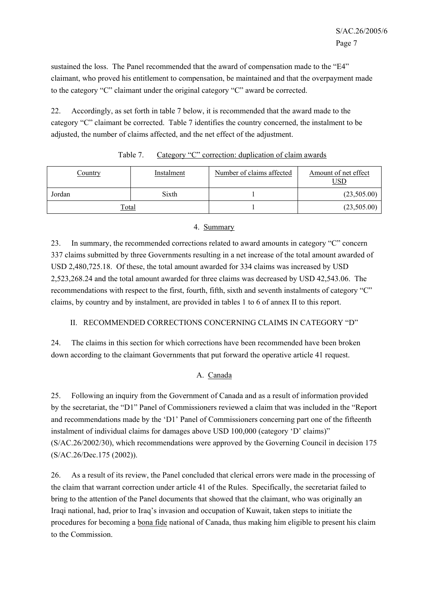sustained the loss. The Panel recommended that the award of compensation made to the "E4" claimant, who proved his entitlement to compensation, be maintained and that the overpayment made to the category "C" claimant under the original category "C" award be corrected.

22. Accordingly, as set forth in table 7 below, it is recommended that the award made to the category "C" claimant be corrected. Table 7 identifies the country concerned, the instalment to be adjusted, the number of claims affected, and the net effect of the adjustment.

| Country      | Instalment | Number of claims affected | Amount of net effect<br><u>USD</u> |
|--------------|------------|---------------------------|------------------------------------|
| Jordan       | Sixth      |                           | (23,505.00)                        |
| <u>Total</u> |            |                           | (23,505.00)                        |

| Table 7. | Category "C" correction: duplication of claim awards |  |  |  |  |
|----------|------------------------------------------------------|--|--|--|--|
|----------|------------------------------------------------------|--|--|--|--|

# 4. Summary

23. In summary, the recommended corrections related to award amounts in category "C" concern 337 claims submitted by three Governments resulting in a net increase of the total amount awarded of USD 2,480,725.18. Of these, the total amount awarded for 334 claims was increased by USD 2,523,268.24 and the total amount awarded for three claims was decreased by USD 42,543.06. The recommendations with respect to the first, fourth, fifth, sixth and seventh instalments of category "C" claims, by country and by instalment, are provided in tables 1 to 6 of annex II to this report.

# II. RECOMMENDED CORRECTIONS CONCERNING CLAIMS IN CATEGORY "D"

24. The claims in this section for which corrections have been recommended have been broken down according to the claimant Governments that put forward the operative article 41 request.

# A. Canada

25. Following an inquiry from the Government of Canada and as a result of information provided by the secretariat, the "D1" Panel of Commissioners reviewed a claim that was included in the "Report and recommendations made by the 'D1' Panel of Commissioners concerning part one of the fifteenth instalment of individual claims for damages above USD 100,000 (category 'D' claims)" (S/AC.26/2002/30), which recommendations were approved by the Governing Council in decision 175 (S/AC.26/Dec.175 (2002)).

26. As a result of its review, the Panel concluded that clerical errors were made in the processing of the claim that warrant correction under article 41 of the Rules. Specifically, the secretariat failed to bring to the attention of the Panel documents that showed that the claimant, who was originally an Iraqi national, had, prior to Iraq's invasion and occupation of Kuwait, taken steps to initiate the procedures for becoming a bona fide national of Canada, thus making him eligible to present his claim to the Commission.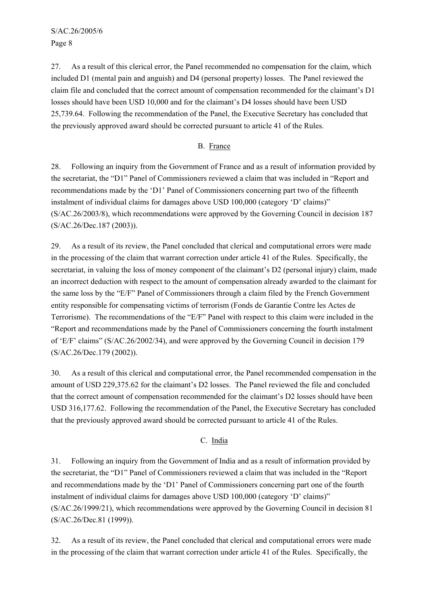S/AC.26/2005/6 Page 8

27. As a result of this clerical error, the Panel recommended no compensation for the claim, which included D1 (mental pain and anguish) and D4 (personal property) losses. The Panel reviewed the claim file and concluded that the correct amount of compensation recommended for the claimant's D1 losses should have been USD 10,000 and for the claimant's D4 losses should have been USD 25,739.64. Following the recommendation of the Panel, the Executive Secretary has concluded that the previously approved award should be corrected pursuant to article 41 of the Rules.

# B. France

28. Following an inquiry from the Government of France and as a result of information provided by the secretariat, the "D1" Panel of Commissioners reviewed a claim that was included in "Report and recommendations made by the 'D1' Panel of Commissioners concerning part two of the fifteenth instalment of individual claims for damages above USD 100,000 (category 'D' claims)" (S/AC.26/2003/8), which recommendations were approved by the Governing Council in decision 187 (S/AC.26/Dec.187 (2003)).

29. As a result of its review, the Panel concluded that clerical and computational errors were made in the processing of the claim that warrant correction under article 41 of the Rules. Specifically, the secretariat, in valuing the loss of money component of the claimant's D2 (personal injury) claim, made an incorrect deduction with respect to the amount of compensation already awarded to the claimant for the same loss by the "E/F" Panel of Commissioners through a claim filed by the French Government entity responsible for compensating victims of terrorism (Fonds de Garantie Contre les Actes de Terrorisme). The recommendations of the "E/F" Panel with respect to this claim were included in the "Report and recommendations made by the Panel of Commissioners concerning the fourth instalment of 'E/F' claims" (S/AC.26/2002/34), and were approved by the Governing Council in decision 179 (S/AC.26/Dec.179 (2002)).

30. As a result of this clerical and computational error, the Panel recommended compensation in the amount of USD 229,375.62 for the claimant's D2 losses. The Panel reviewed the file and concluded that the correct amount of compensation recommended for the claimant's D2 losses should have been USD 316,177.62. Following the recommendation of the Panel, the Executive Secretary has concluded that the previously approved award should be corrected pursuant to article 41 of the Rules.

# C. India

31. Following an inquiry from the Government of India and as a result of information provided by the secretariat, the "D1" Panel of Commissioners reviewed a claim that was included in the "Report and recommendations made by the 'D1' Panel of Commissioners concerning part one of the fourth instalment of individual claims for damages above USD 100,000 (category 'D' claims)" (S/AC.26/1999/21), which recommendations were approved by the Governing Council in decision 81 (S/AC.26/Dec.81 (1999)).

32. As a result of its review, the Panel concluded that clerical and computational errors were made in the processing of the claim that warrant correction under article 41 of the Rules. Specifically, the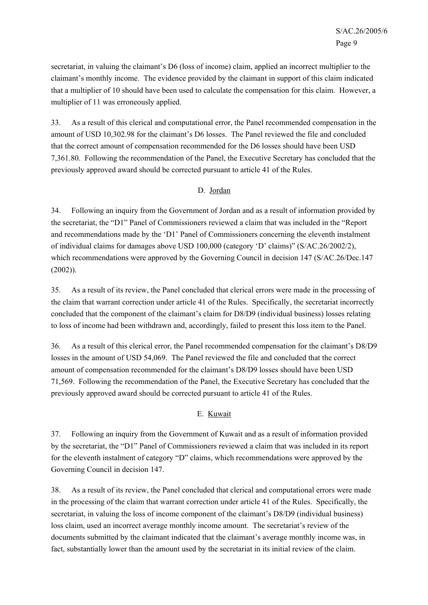secretariat, in valuing the claimant's D6 (loss of income) claim, applied an incorrect multiplier to the claimant's monthly income. The evidence provided by the claimant in support of this claim indicated that a multiplier of 10 should have been used to calculate the compensation for this claim. However, a multiplier of 11 was erroneously applied.

33. As a result of this clerical and computational error, the Panel recommended compensation in the amount of USD 10,302.98 for the claimant's D6 losses. The Panel reviewed the file and concluded that the correct amount of compensation recommended for the D6 losses should have been USD 7,361.80. Following the recommendation of the Panel, the Executive Secretary has concluded that the previously approved award should be corrected pursuant to article 41 of the Rules.

# D. Jordan

34. Following an inquiry from the Government of Jordan and as a result of information provided by the secretariat, the "D1" Panel of Commissioners reviewed a claim that was included in the "Report and recommendations made by the 'D1' Panel of Commissioners concerning the eleventh instalment of individual claims for damages above USD 100,000 (category 'D' claims)" (S/AC.26/2002/2), which recommendations were approved by the Governing Council in decision 147 (S/AC.26/Dec.147) (2002)).

35. As a result of its review, the Panel concluded that clerical errors were made in the processing of the claim that warrant correction under article 41 of the Rules. Specifically, the secretariat incorrectly concluded that the component of the claimant's claim for D8/D9 (individual business) losses relating to loss of income had been withdrawn and, accordingly, failed to present this loss item to the Panel.

36. As a result of this clerical error, the Panel recommended compensation for the claimant's D8/D9 losses in the amount of USD 54,069. The Panel reviewed the file and concluded that the correct amount of compensation recommended for the claimant's D8/D9 losses should have been USD 71,569. Following the recommendation of the Panel, the Executive Secretary has concluded that the previously approved award should be corrected pursuant to article 41 of the Rules.

# E. Kuwait

37. Following an inquiry from the Government of Kuwait and as a result of information provided by the secretariat, the "D1" Panel of Commissioners reviewed a claim that was included in its report for the eleventh instalment of category "D" claims, which recommendations were approved by the Governing Council in decision 147.

38. As a result of its review, the Panel concluded that clerical and computational errors were made in the processing of the claim that warrant correction under article 41 of the Rules. Specifically, the secretariat, in valuing the loss of income component of the claimant's D8/D9 (individual business) loss claim, used an incorrect average monthly income amount. The secretariat's review of the documents submitted by the claimant indicated that the claimant's average monthly income was, in fact, substantially lower than the amount used by the secretariat in its initial review of the claim.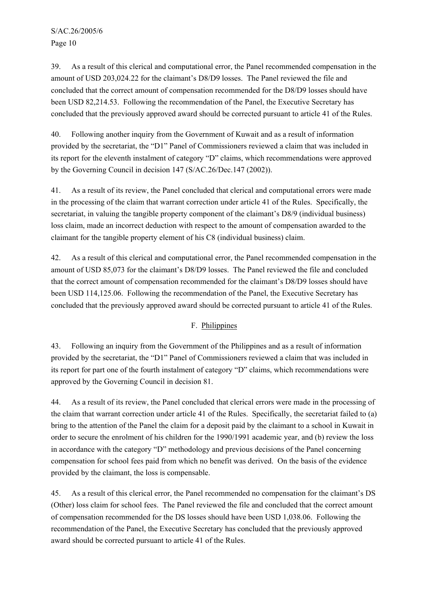S/AC.26/2005/6 Page 10

39. As a result of this clerical and computational error, the Panel recommended compensation in the amount of USD 203,024.22 for the claimant's D8/D9 losses. The Panel reviewed the file and concluded that the correct amount of compensation recommended for the D8/D9 losses should have been USD 82,214.53. Following the recommendation of the Panel, the Executive Secretary has concluded that the previously approved award should be corrected pursuant to article 41 of the Rules.

40. Following another inquiry from the Government of Kuwait and as a result of information provided by the secretariat, the "D1" Panel of Commissioners reviewed a claim that was included in its report for the eleventh instalment of category "D" claims, which recommendations were approved by the Governing Council in decision 147 (S/AC.26/Dec.147 (2002)).

41. As a result of its review, the Panel concluded that clerical and computational errors were made in the processing of the claim that warrant correction under article 41 of the Rules. Specifically, the secretariat, in valuing the tangible property component of the claimant's D8/9 (individual business) loss claim, made an incorrect deduction with respect to the amount of compensation awarded to the claimant for the tangible property element of his C8 (individual business) claim.

42. As a result of this clerical and computational error, the Panel recommended compensation in the amount of USD 85,073 for the claimant's D8/D9 losses. The Panel reviewed the file and concluded that the correct amount of compensation recommended for the claimant's D8/D9 losses should have been USD 114,125.06. Following the recommendation of the Panel, the Executive Secretary has concluded that the previously approved award should be corrected pursuant to article 41 of the Rules.

# F. Philippines

43. Following an inquiry from the Government of the Philippines and as a result of information provided by the secretariat, the "D1" Panel of Commissioners reviewed a claim that was included in its report for part one of the fourth instalment of category "D" claims, which recommendations were approved by the Governing Council in decision 81.

44. As a result of its review, the Panel concluded that clerical errors were made in the processing of the claim that warrant correction under article 41 of the Rules. Specifically, the secretariat failed to (a) bring to the attention of the Panel the claim for a deposit paid by the claimant to a school in Kuwait in order to secure the enrolment of his children for the 1990/1991 academic year, and (b) review the loss in accordance with the category "D" methodology and previous decisions of the Panel concerning compensation for school fees paid from which no benefit was derived. On the basis of the evidence provided by the claimant, the loss is compensable.

45. As a result of this clerical error, the Panel recommended no compensation for the claimant's DS (Other) loss claim for school fees. The Panel reviewed the file and concluded that the correct amount of compensation recommended for the DS losses should have been USD 1,038.06. Following the recommendation of the Panel, the Executive Secretary has concluded that the previously approved award should be corrected pursuant to article 41 of the Rules.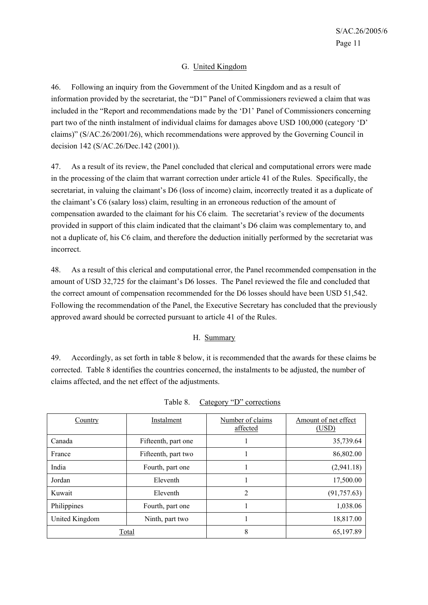# G. United Kingdom

46. Following an inquiry from the Government of the United Kingdom and as a result of information provided by the secretariat, the "D1" Panel of Commissioners reviewed a claim that was included in the "Report and recommendations made by the 'D1' Panel of Commissioners concerning part two of the ninth instalment of individual claims for damages above USD 100,000 (category 'D' claims)" (S/AC.26/2001/26), which recommendations were approved by the Governing Council in decision 142 (S/AC.26/Dec.142 (2001)).

47. As a result of its review, the Panel concluded that clerical and computational errors were made in the processing of the claim that warrant correction under article 41 of the Rules. Specifically, the secretariat, in valuing the claimant's D6 (loss of income) claim, incorrectly treated it as a duplicate of the claimant's C6 (salary loss) claim, resulting in an erroneous reduction of the amount of compensation awarded to the claimant for his C6 claim. The secretariat's review of the documents provided in support of this claim indicated that the claimant's D6 claim was complementary to, and not a duplicate of, his C6 claim, and therefore the deduction initially performed by the secretariat was incorrect.

48. As a result of this clerical and computational error, the Panel recommended compensation in the amount of USD 32,725 for the claimant's D6 losses. The Panel reviewed the file and concluded that the correct amount of compensation recommended for the D6 losses should have been USD 51,542. Following the recommendation of the Panel, the Executive Secretary has concluded that the previously approved award should be corrected pursuant to article 41 of the Rules.

# H. Summary

49. Accordingly, as set forth in table 8 below, it is recommended that the awards for these claims be corrected. Table 8 identifies the countries concerned, the instalments to be adjusted, the number of claims affected, and the net effect of the adjustments.

| Country        | Instalment          | Number of claims<br>affected | Amount of net effect<br>(USD) |
|----------------|---------------------|------------------------------|-------------------------------|
| Canada         | Fifteenth, part one |                              | 35,739.64                     |
| France         | Fifteenth, part two |                              | 86,802.00                     |
| India          | Fourth, part one    |                              | (2,941.18)                    |
| Jordan         | Eleventh            |                              | 17,500.00                     |
| Kuwait         | Eleventh            | $\overline{2}$               | (91, 757.63)                  |
| Philippines    | Fourth, part one    |                              | 1,038.06                      |
| United Kingdom | Ninth, part two     |                              | 18,817.00                     |
| Total          |                     | 8                            | 65,197.89                     |

Table 8. Category "D" corrections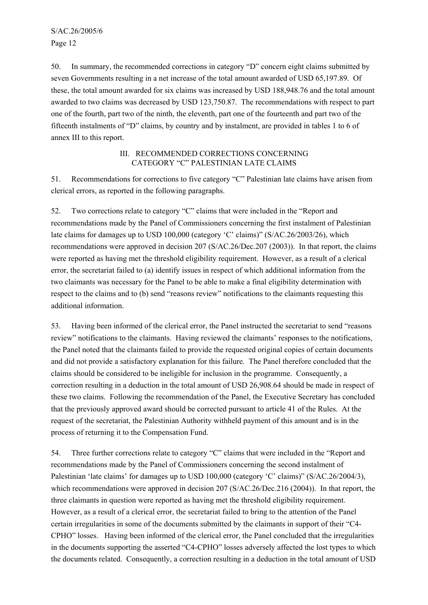50. In summary, the recommended corrections in category "D" concern eight claims submitted by seven Governments resulting in a net increase of the total amount awarded of USD 65,197.89. Of these, the total amount awarded for six claims was increased by USD 188,948.76 and the total amount awarded to two claims was decreased by USD 123,750.87. The recommendations with respect to part one of the fourth, part two of the ninth, the eleventh, part one of the fourteenth and part two of the fifteenth instalments of "D" claims, by country and by instalment, are provided in tables 1 to 6 of annex III to this report.

#### III. RECOMMENDED CORRECTIONS CONCERNING CATEGORY "C" PALESTINIAN LATE CLAIMS

51. Recommendations for corrections to five category "C" Palestinian late claims have arisen from clerical errors, as reported in the following paragraphs.

52. Two corrections relate to category "C" claims that were included in the "Report and recommendations made by the Panel of Commissioners concerning the first instalment of Palestinian late claims for damages up to USD 100,000 (category 'C' claims)" (S/AC.26/2003/26), which recommendations were approved in decision 207 (S/AC.26/Dec.207 (2003)). In that report, the claims were reported as having met the threshold eligibility requirement. However, as a result of a clerical error, the secretariat failed to (a) identify issues in respect of which additional information from the two claimants was necessary for the Panel to be able to make a final eligibility determination with respect to the claims and to (b) send "reasons review" notifications to the claimants requesting this additional information.

53. Having been informed of the clerical error, the Panel instructed the secretariat to send "reasons review" notifications to the claimants. Having reviewed the claimants' responses to the notifications, the Panel noted that the claimants failed to provide the requested original copies of certain documents and did not provide a satisfactory explanation for this failure. The Panel therefore concluded that the claims should be considered to be ineligible for inclusion in the programme. Consequently, a correction resulting in a deduction in the total amount of USD 26,908.64 should be made in respect of these two claims. Following the recommendation of the Panel, the Executive Secretary has concluded that the previously approved award should be corrected pursuant to article 41 of the Rules. At the request of the secretariat, the Palestinian Authority withheld payment of this amount and is in the process of returning it to the Compensation Fund.

54. Three further corrections relate to category "C" claims that were included in the "Report and recommendations made by the Panel of Commissioners concerning the second instalment of Palestinian 'late claims' for damages up to USD 100,000 (category 'C' claims)" (S/AC.26/2004/3), which recommendations were approved in decision 207 (S/AC.26/Dec.216 (2004)). In that report, the three claimants in question were reported as having met the threshold eligibility requirement. However, as a result of a clerical error, the secretariat failed to bring to the attention of the Panel certain irregularities in some of the documents submitted by the claimants in support of their "C4- CPHO" losses. Having been informed of the clerical error, the Panel concluded that the irregularities in the documents supporting the asserted "C4-CPHO" losses adversely affected the lost types to which the documents related. Consequently, a correction resulting in a deduction in the total amount of USD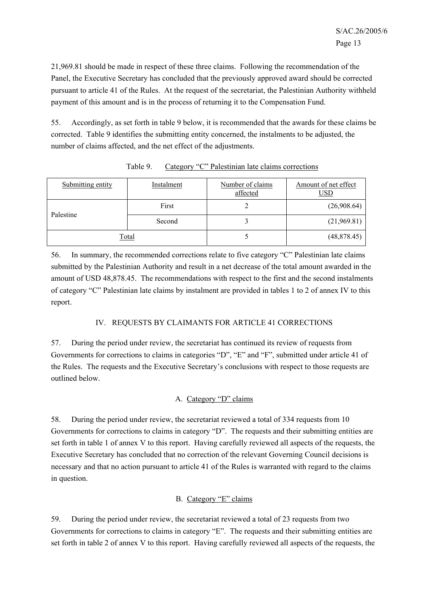21,969.81 should be made in respect of these three claims. Following the recommendation of the Panel, the Executive Secretary has concluded that the previously approved award should be corrected pursuant to article 41 of the Rules. At the request of the secretariat, the Palestinian Authority withheld payment of this amount and is in the process of returning it to the Compensation Fund.

55. Accordingly, as set forth in table 9 below, it is recommended that the awards for these claims be corrected. Table 9 identifies the submitting entity concerned, the instalments to be adjusted, the number of claims affected, and the net effect of the adjustments.

| Submitting entity | Instalment | Number of claims<br>affected | Amount of net effect<br>USD |
|-------------------|------------|------------------------------|-----------------------------|
| Palestine         | First      |                              | (26,908.64)                 |
|                   | Second     |                              | (21,969.81)                 |
| Total             |            |                              | (48,878.45)                 |

Table 9. Category "C" Palestinian late claims corrections

56. In summary, the recommended corrections relate to five category "C" Palestinian late claims submitted by the Palestinian Authority and result in a net decrease of the total amount awarded in the amount of USD 48,878.45. The recommendations with respect to the first and the second instalments of category "C" Palestinian late claims by instalment are provided in tables 1 to 2 of annex IV to this report.

# IV. REQUESTS BY CLAIMANTS FOR ARTICLE 41 CORRECTIONS

57. During the period under review, the secretariat has continued its review of requests from Governments for corrections to claims in categories "D", "E" and "F", submitted under article 41 of the Rules. The requests and the Executive Secretary's conclusions with respect to those requests are outlined below.

# A. Category "D" claims

58. During the period under review, the secretariat reviewed a total of 334 requests from 10 Governments for corrections to claims in category "D". The requests and their submitting entities are set forth in table 1 of annex V to this report. Having carefully reviewed all aspects of the requests, the Executive Secretary has concluded that no correction of the relevant Governing Council decisions is necessary and that no action pursuant to article 41 of the Rules is warranted with regard to the claims in question.

# B. Category "E" claims

59. During the period under review, the secretariat reviewed a total of 23 requests from two Governments for corrections to claims in category "E". The requests and their submitting entities are set forth in table 2 of annex V to this report. Having carefully reviewed all aspects of the requests, the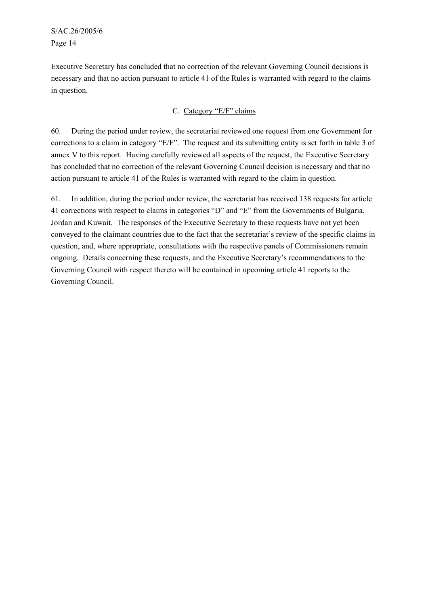S/AC.26/2005/6 Page 14

Executive Secretary has concluded that no correction of the relevant Governing Council decisions is necessary and that no action pursuant to article 41 of the Rules is warranted with regard to the claims in question.

# C. Category "E/F" claims

60. During the period under review, the secretariat reviewed one request from one Government for corrections to a claim in category "E/F". The request and its submitting entity is set forth in table 3 of annex V to this report. Having carefully reviewed all aspects of the request, the Executive Secretary has concluded that no correction of the relevant Governing Council decision is necessary and that no action pursuant to article 41 of the Rules is warranted with regard to the claim in question.

61. In addition, during the period under review, the secretariat has received 138 requests for article 41 corrections with respect to claims in categories "D" and "E" from the Governments of Bulgaria, Jordan and Kuwait. The responses of the Executive Secretary to these requests have not yet been conveyed to the claimant countries due to the fact that the secretariat's review of the specific claims in question, and, where appropriate, consultations with the respective panels of Commissioners remain ongoing. Details concerning these requests, and the Executive Secretary's recommendations to the Governing Council with respect thereto will be contained in upcoming article 41 reports to the Governing Council.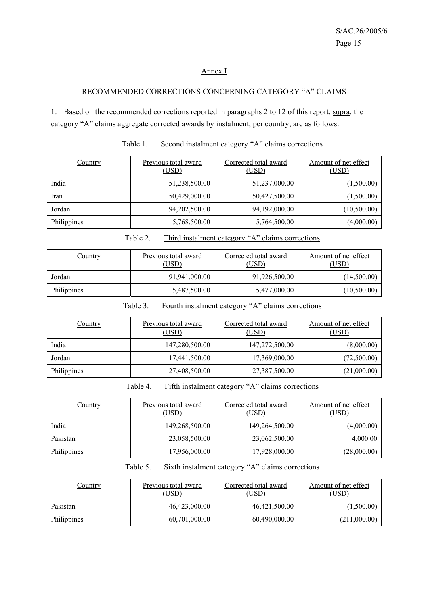#### Annex I

# RECOMMENDED CORRECTIONS CONCERNING CATEGORY "A" CLAIMS

1. Based on the recommended corrections reported in paragraphs 2 to 12 of this report, supra, the category "A" claims aggregate corrected awards by instalment, per country, are as follows:

| Country     | Previous total award<br>(USD) | Corrected total award<br>(USD) | Amount of net effect<br><u>(USD)</u> |
|-------------|-------------------------------|--------------------------------|--------------------------------------|
| India       | 51,238,500.00                 | 51,237,000.00                  | (1,500.00)                           |
| Iran        | 50,429,000.00                 | 50,427,500.00                  | (1,500.00)                           |
| Jordan      | 94,202,500.00                 | 94,192,000.00                  | (10,500.00)                          |
| Philippines | 5,768,500.00                  | 5,764,500.00                   | (4,000.00)                           |

#### Table 1. Second instalment category "A" claims corrections

| Table 2. | Third instalment category "A" claims corrections |  |
|----------|--------------------------------------------------|--|
|          |                                                  |  |

| Country     | Previous total award<br>(USD) | Corrected total award<br>(USD) | Amount of net effect<br>(USD) |
|-------------|-------------------------------|--------------------------------|-------------------------------|
| Jordan      | 91,941,000.00                 | 91,926,500.00                  | (14,500.00)                   |
| Philippines | 5,487,500.00                  | 5,477,000.00                   | (10,500.00)                   |

Table 3. Fourth instalment category "A" claims corrections

| <b>Country</b> | Previous total award<br>(USD) | Corrected total award<br>(USD) | Amount of net effect<br>(USD) |
|----------------|-------------------------------|--------------------------------|-------------------------------|
| India          | 147,280,500.00                | 147,272,500.00                 | (8,000.00)                    |
| Jordan         | 17,441,500.00                 | 17,369,000.00                  | (72,500.00)                   |
| Philippines    | 27,408,500.00                 | 27,387,500.00                  | (21,000.00)                   |

Table 4. Fifth instalment category "A" claims corrections

| Country     | Previous total award<br>(USD) | Corrected total award<br>(USD) | Amount of net effect<br>(USD) |
|-------------|-------------------------------|--------------------------------|-------------------------------|
| India       | 149,268,500.00                | 149,264,500.00                 | (4,000.00)                    |
| Pakistan    | 23,058,500.00                 | 23,062,500.00                  | 4,000.00                      |
| Philippines | 17,956,000.00                 | 17,928,000.00                  | (28,000.00)                   |

Table 5. Sixth instalment category "A" claims corrections

| <u>Country</u> | Previous total award<br>(USD) | Corrected total award<br>(USD) | Amount of net effect<br>(USD) |
|----------------|-------------------------------|--------------------------------|-------------------------------|
| Pakistan       | 46,423,000.00                 | 46,421,500.00                  | (1,500.00)                    |
| Philippines    | 60,701,000.00                 | 60,490,000.00                  | (211,000.00)                  |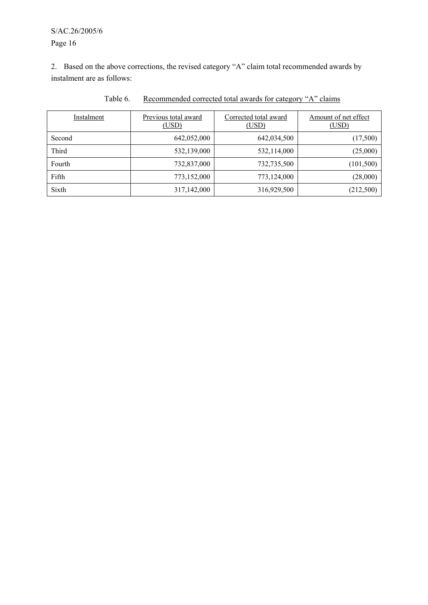S/AC.26/2005/6 Page 16

2. Based on the above corrections, the revised category "A" claim total recommended awards by instalment are as follows:

| Instalment | Previous total award<br>(USD) | Corrected total award<br>(USD) | Amount of net effect<br>(USD) |
|------------|-------------------------------|--------------------------------|-------------------------------|
| Second     | 642,052,000                   | 642,034,500                    | (17,500)                      |
| Third      | 532,139,000                   | 532,114,000                    | (25,000)                      |
| Fourth     | 732,837,000                   | 732,735,500                    | (101, 500)                    |
| Fifth      | 773,152,000                   | 773,124,000                    | (28,000)                      |
| Sixth      | 317,142,000                   | 316,929,500                    | (212,500)                     |

Table 6. Recommended corrected total awards for category "A" claims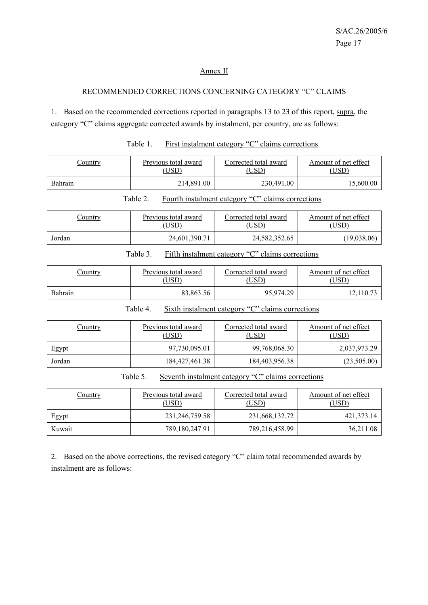# Annex II

# RECOMMENDED CORRECTIONS CONCERNING CATEGORY "C" CLAIMS

1. Based on the recommended corrections reported in paragraphs 13 to 23 of this report, supra, the category "C" claims aggregate corrected awards by instalment, per country, are as follows:

| Country | Previous total award | Corrected total award | Amount of net effect |
|---------|----------------------|-----------------------|----------------------|
|         | , USD)               | USD)                  | USD                  |
| Bahrain | 214,891.00           | 230,491.00            | 15.600.00            |

| Country | Previous total award | Corrected total award | Amount of net effect |
|---------|----------------------|-----------------------|----------------------|
|         | ,USD)                | USD <sup>)</sup>      | USD)                 |
| Jordan  | 24,601,390.71        | 24,582,352.65         | (19,038,06)          |

# Table 1. First instalment category "C" claims corrections

Table 2. Fourth instalment category "C" claims corrections

#### Table 3. Fifth instalment category "C" claims corrections

| Country | Previous total award | Corrected total award | Amount of net effect |
|---------|----------------------|-----------------------|----------------------|
|         | USD)                 | USD)                  | USD`                 |
| Bahrain | 83.863.56            | 95,974.29             | $12,110.7^{\circ}$   |

Table 4. Sixth instalment category "C" claims corrections

| <u>Country</u> | Previous total award<br>(USD) | Corrected total award<br>(USD) | Amount of net effect<br>(USD) |
|----------------|-------------------------------|--------------------------------|-------------------------------|
| Egypt          | 97,730,095.01                 | 99,768,068.30                  | 2,037,973.29                  |
| Jordan         | 184, 427, 461. 38             | 184,403,956.38                 | (23,505.00)                   |

Table 5. Seventh instalment category "C" claims corrections

| <b>Country</b> | Previous total award<br>(USD) | Corrected total award<br>(USD) | Amount of net effect<br>(USD) |
|----------------|-------------------------------|--------------------------------|-------------------------------|
| Egypt          | 231,246,759.58                | 231,668,132.72                 | 421,373.14                    |
| Kuwait         | 789,180,247.91                | 789,216,458.99                 | 36,211.08                     |

2. Based on the above corrections, the revised category "C" claim total recommended awards by instalment are as follows: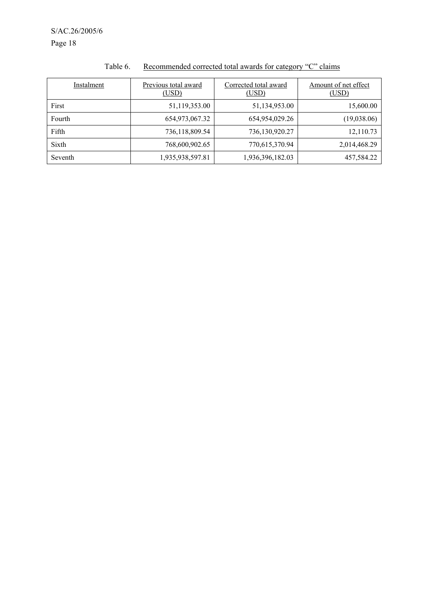| Instalment | Previous total award<br>(USD) | Corrected total award<br>(USD) | Amount of net effect<br>(USD) |
|------------|-------------------------------|--------------------------------|-------------------------------|
| First      | 51,119,353.00                 | 51,134,953.00                  | 15,600.00                     |
| Fourth     | 654,973,067.32                | 654,954,029.26                 | (19,038.06)                   |
| Fifth      | 736,118,809.54                | 736,130,920.27                 | 12,110.73                     |
| Sixth      | 768,600,902.65                | 770,615,370.94                 | 2,014,468.29                  |
| Seventh    | 1,935,938,597.81              | 1,936,396,182.03               | 457,584.22                    |

# Table 6. Recommended corrected total awards for category "C" claims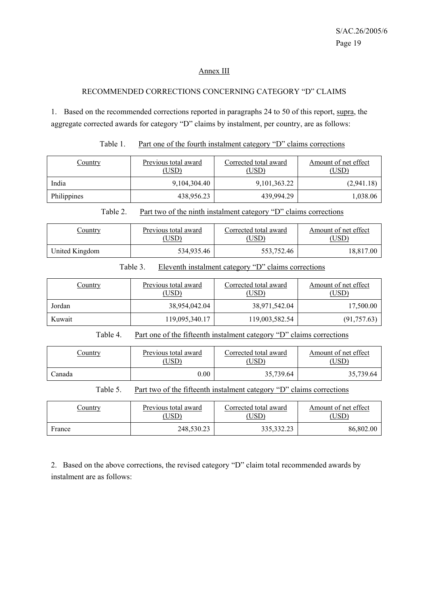#### Annex III

# RECOMMENDED CORRECTIONS CONCERNING CATEGORY "D" CLAIMS

1. Based on the recommended corrections reported in paragraphs 24 to 50 of this report, supra, the aggregate corrected awards for category "D" claims by instalment, per country, are as follows:

|  | Table 1. | Part one of the fourth instalment category "D" claims corrections |  |  |  |  |
|--|----------|-------------------------------------------------------------------|--|--|--|--|
|--|----------|-------------------------------------------------------------------|--|--|--|--|

| Country     | Previous total award<br>(USD) | Corrected total award<br>(USD) | Amount of net effect<br>(USD) |
|-------------|-------------------------------|--------------------------------|-------------------------------|
| India       | 9,104,304.40                  | 9,101,363.22                   | (2,941.18)                    |
| Philippines | 438,956.23                    | 439,994.29                     | 1,038.06                      |

Table 2. Part two of the ninth instalment category "D" claims corrections

| <u>Country</u> | Previous total award | Corrected total award | Amount of net effect |  |
|----------------|----------------------|-----------------------|----------------------|--|
|                | ,USD)                | USD)                  | USD).                |  |
| United Kingdom | 534,935.46           | 553.752.46            | 18,817.00            |  |

# Table 3. Eleventh instalment category "D" claims corrections

| <u>Country</u> | Previous total award<br>(USD) | Corrected total award<br>(USD) | Amount of net effect<br>(USD) |
|----------------|-------------------------------|--------------------------------|-------------------------------|
| Jordan         | 38,954,042.04                 | 38,971,542.04                  | 17,500.00                     |
| Kuwait         | 119,095,340.17                | 119,003,582.54                 | (91, 757.63)                  |

Table 4. Part one of the fifteenth instalment category "D" claims corrections

| <u>Country</u> | Previous total award | Corrected total award | Amount of net effect |
|----------------|----------------------|-----------------------|----------------------|
|                | $\overline{C}$       | USD)                  | <b>USD</b>           |
| ∠anada         | $0.00\,$             | 35,739.64             | 35,739.64            |

Table 5. Part two of the fifteenth instalment category "D" claims corrections

| <u>Country</u> | Previous total award | Corrected total award<br>USD <sup>3</sup> | Amount of net effect<br>USD) |
|----------------|----------------------|-------------------------------------------|------------------------------|
| France         | 248.530.23           | 335.332.23                                | 86,802.00                    |

2. Based on the above corrections, the revised category "D" claim total recommended awards by instalment are as follows: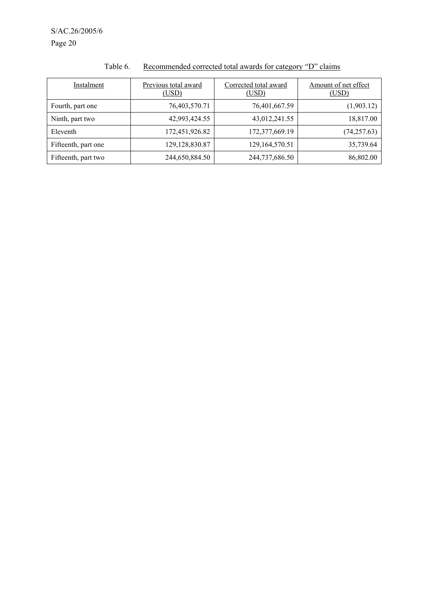| Instalment          | Previous total award<br>(USD) | Corrected total award<br>(USD) | Amount of net effect<br>(USD) |
|---------------------|-------------------------------|--------------------------------|-------------------------------|
| Fourth, part one    | 76,403,570.71                 | 76,401,667.59                  | (1,903.12)                    |
| Ninth, part two     | 42,993,424.55                 | 43,012,241.55                  | 18,817.00                     |
| Eleventh            | 172,451,926.82                | 172,377,669.19                 | (74, 257.63)                  |
| Fifteenth, part one | 129, 128, 830. 87             | 129, 164, 570. 51              | 35,739.64                     |
| Fifteenth, part two | 244,650,884.50                | 244,737,686.50                 | 86,802.00                     |

# Table 6. Recommended corrected total awards for category "D" claims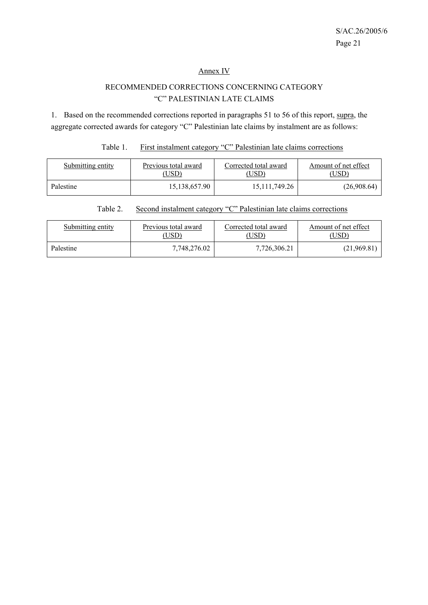#### Annex IV

# RECOMMENDED CORRECTIONS CONCERNING CATEGORY "C" PALESTINIAN LATE CLAIMS

1. Based on the recommended corrections reported in paragraphs 51 to 56 of this report, supra, the aggregate corrected awards for category "C" Palestinian late claims by instalment are as follows:

# Table 1. First instalment category "C" Palestinian late claims corrections

| Submitting entity | Previous total award | Corrected total award | Amount of net effect |
|-------------------|----------------------|-----------------------|----------------------|
|                   | USD <sup>3</sup>     | 'USD)                 | USD <sup>®</sup>     |
| Palestine         | 15,138,657.90        | 15, 111, 749. 26      | (26,908.64)          |

# Table 2. Second instalment category "C" Palestinian late claims corrections

| Submitting entity | Previous total award | Corrected total award | Amount of net effect |
|-------------------|----------------------|-----------------------|----------------------|
|                   | USD)                 | USD)                  | USD)                 |
| Palestine         | 7,748,276.02         | 7,726,306.21          | (21,969.81)          |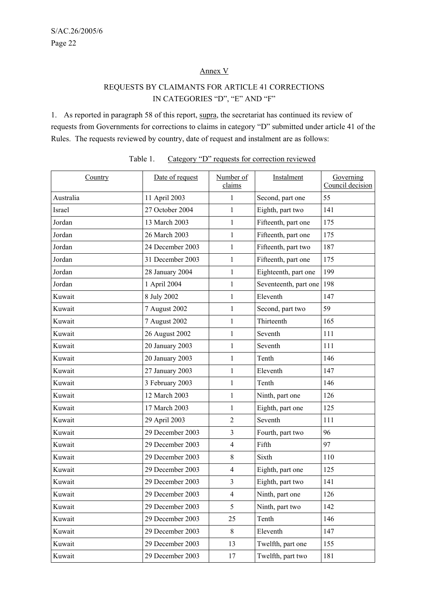# Annex V

# REQUESTS BY CLAIMANTS FOR ARTICLE 41 CORRECTIONS IN CATEGORIES "D", "E" AND "F"

1. As reported in paragraph 58 of this report, supra, the secretariat has continued its review of requests from Governments for corrections to claims in category "D" submitted under article 41 of the Rules. The requests reviewed by country, date of request and instalment are as follows:

| Country   | Date of request  | Number of<br>claims | Instalment            | Governing<br>Council decision |
|-----------|------------------|---------------------|-----------------------|-------------------------------|
| Australia | 11 April 2003    | 1                   | Second, part one      | 55                            |
| Israel    | 27 October 2004  | $\mathbf{1}$        | Eighth, part two      | 141                           |
| Jordan    | 13 March 2003    | $\mathbf{1}$        | Fifteenth, part one   | 175                           |
| Jordan    | 26 March 2003    | $\mathbf{1}$        | Fifteenth, part one   | 175                           |
| Jordan    | 24 December 2003 | $\mathbf{1}$        | Fifteenth, part two   | 187                           |
| Jordan    | 31 December 2003 | $\mathbf{1}$        | Fifteenth, part one   | 175                           |
| Jordan    | 28 January 2004  | $\mathbf{1}$        | Eighteenth, part one  | 199                           |
| Jordan    | 1 April 2004     | $\mathbf{1}$        | Seventeenth, part one | 198                           |
| Kuwait    | 8 July 2002      | $\mathbf{1}$        | Eleventh              | 147                           |
| Kuwait    | 7 August 2002    | $\mathbf{1}$        | Second, part two      | 59                            |
| Kuwait    | 7 August 2002    | $\mathbf{1}$        | Thirteenth            | 165                           |
| Kuwait    | 26 August 2002   | $\mathbf{1}$        | Seventh               | 111                           |
| Kuwait    | 20 January 2003  | $\mathbf{1}$        | Seventh               | 111                           |
| Kuwait    | 20 January 2003  | $\mathbf{1}$        | Tenth                 | 146                           |
| Kuwait    | 27 January 2003  | $\mathbf{1}$        | Eleventh              | 147                           |
| Kuwait    | 3 February 2003  | $\mathbf{1}$        | Tenth                 | 146                           |
| Kuwait    | 12 March 2003    | $\mathbf{1}$        | Ninth, part one       | 126                           |
| Kuwait    | 17 March 2003    | $\mathbf{1}$        | Eighth, part one      | 125                           |
| Kuwait    | 29 April 2003    | $\overline{2}$      | Seventh               | 111                           |
| Kuwait    | 29 December 2003 | $\mathfrak{Z}$      | Fourth, part two      | 96                            |
| Kuwait    | 29 December 2003 | $\overline{4}$      | Fifth                 | 97                            |
| Kuwait    | 29 December 2003 | $\,8\,$             | Sixth                 | 110                           |
| Kuwait    | 29 December 2003 | $\overline{4}$      | Eighth, part one      | 125                           |
| Kuwait    | 29 December 2003 | $\mathfrak{Z}$      | Eighth, part two      | 141                           |
| Kuwait    | 29 December 2003 | $\overline{4}$      | Ninth, part one       | 126                           |
| Kuwait    | 29 December 2003 | 5                   | Ninth, part two       | 142                           |
| Kuwait    | 29 December 2003 | 25                  | Tenth                 | 146                           |
| Kuwait    | 29 December 2003 | 8                   | Eleventh              | 147                           |
| Kuwait    | 29 December 2003 | 13                  | Twelfth, part one     | 155                           |
| Kuwait    | 29 December 2003 | 17                  | Twelfth, part two     | 181                           |

| Table 1. |  |  | Category "D" requests for correction reviewed |  |
|----------|--|--|-----------------------------------------------|--|
|          |  |  |                                               |  |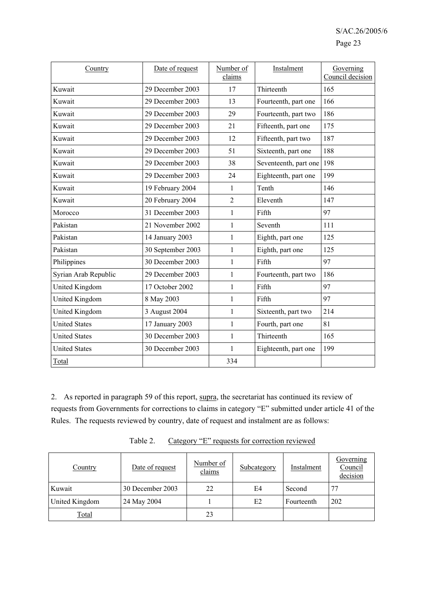| Country               | Date of request   | Number of<br>claims | Instalment            | Governing<br>Council decision |
|-----------------------|-------------------|---------------------|-----------------------|-------------------------------|
| Kuwait                | 29 December 2003  | 17                  | Thirteenth            | 165                           |
| Kuwait                | 29 December 2003  | 13                  | Fourteenth, part one  | 166                           |
| Kuwait                | 29 December 2003  | 29                  | Fourteenth, part two  | 186                           |
| Kuwait                | 29 December 2003  | 21                  | Fifteenth, part one   | 175                           |
| Kuwait                | 29 December 2003  | 12                  | Fifteenth, part two   | 187                           |
| Kuwait                | 29 December 2003  | 51                  | Sixteenth, part one   | 188                           |
| Kuwait                | 29 December 2003  | 38                  | Seventeenth, part one | 198                           |
| Kuwait                | 29 December 2003  | 24                  | Eighteenth, part one  | 199                           |
| Kuwait                | 19 February 2004  | $\mathbf{1}$        | Tenth                 | 146                           |
| Kuwait                | 20 February 2004  | $\overline{2}$      | Eleventh              | 147                           |
| Morocco               | 31 December 2003  | $\mathbf{1}$        | Fifth                 | 97                            |
| Pakistan              | 21 November 2002  | $\mathbf{1}$        | Seventh               | 111                           |
| Pakistan              | 14 January 2003   | $\mathbf{1}$        | Eighth, part one      | 125                           |
| Pakistan              | 30 September 2003 | $\mathbf{1}$        | Eighth, part one      | 125                           |
| Philippines           | 30 December 2003  | 1                   | Fifth                 | 97                            |
| Syrian Arab Republic  | 29 December 2003  | $\mathbf{1}$        | Fourteenth, part two  | 186                           |
| <b>United Kingdom</b> | 17 October 2002   | $\mathbf{1}$        | Fifth                 | 97                            |
| United Kingdom        | 8 May 2003        | $\mathbf{1}$        | Fifth                 | 97                            |
| United Kingdom        | 3 August 2004     | 1                   | Sixteenth, part two   | 214                           |
| <b>United States</b>  | 17 January 2003   | $\mathbf{1}$        | Fourth, part one      | 81                            |
| <b>United States</b>  | 30 December 2003  | $\mathbf{1}$        | Thirteenth            | 165                           |
| <b>United States</b>  | 30 December 2003  | $\mathbf{1}$        | Eighteenth, part one  | 199                           |
| Total                 |                   | 334                 |                       |                               |

2. As reported in paragraph 59 of this report, supra, the secretariat has continued its review of requests from Governments for corrections to claims in category "E" submitted under article 41 of the Rules. The requests reviewed by country, date of request and instalment are as follows:

| Country        | Date of request  | Number of<br>claims | Subcategory | Instalment | Governing<br>Council<br>decision |
|----------------|------------------|---------------------|-------------|------------|----------------------------------|
| Kuwait         | 30 December 2003 | 22                  | E4          | Second     | 77                               |
| United Kingdom | 24 May 2004      |                     | E2          | Fourteenth | 202                              |
| <b>Total</b>   |                  | 23                  |             |            |                                  |

Table 2. Category "E" requests for correction reviewed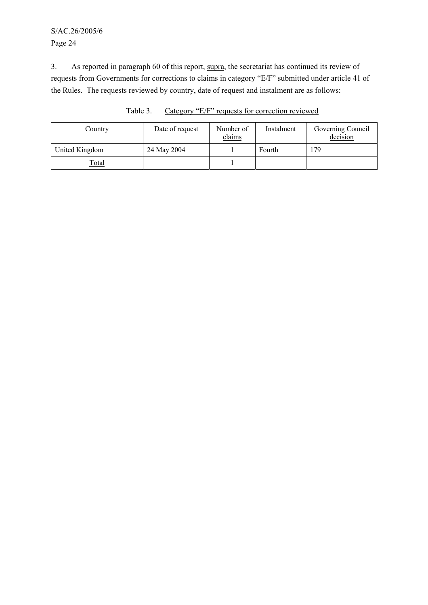# S/AC.26/2005/6 Page 24

3. As reported in paragraph 60 of this report, supra, the secretariat has continued its review of requests from Governments for corrections to claims in category "E/F" submitted under article 41 of the Rules. The requests reviewed by country, date of request and instalment are as follows:

| Country        | Date of request | Number of<br>claims | Instalment | Governing Council<br>decision |
|----------------|-----------------|---------------------|------------|-------------------------------|
| United Kingdom | 24 May 2004     |                     | Fourth     | 179                           |
| Total          |                 |                     |            |                               |

Table 3. Category "E/F" requests for correction reviewed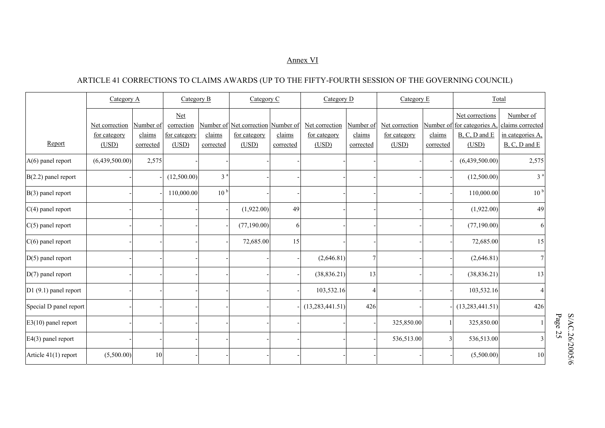#### Annex VI

# ARTICLE 41 CORRECTIONS TO CLAIMS AWARDS (UP TO THE FIFTY-FOURTH SESSION OF THE GOVERNING COUNCIL)

|                        | Category A                     |                     |                            | Category B<br>Category C |                                                    | Category D |                                       | Category E          |                                | Total     |                                                 |                                      |
|------------------------|--------------------------------|---------------------|----------------------------|--------------------------|----------------------------------------------------|------------|---------------------------------------|---------------------|--------------------------------|-----------|-------------------------------------------------|--------------------------------------|
|                        |                                |                     | <b>Net</b>                 |                          |                                                    |            |                                       |                     |                                |           | Net corrections                                 | Number of                            |
|                        | Net correction<br>for category | Number of<br>claims | correction<br>for category | claims                   | Number of Net correction Number of<br>for category | claims     | Net correction<br><u>for category</u> | Number of<br>claims | Net correction<br>for category | claims    | Number of for categories A<br>$B, C, D$ and $E$ | claims corrected<br>in categories A. |
| Report                 | (USD)                          | corrected           | (USD)                      | corrected                | (USD)                                              | corrected  | (USD)                                 | corrected           | (USD)                          | corrected | (USD)                                           | $B, C, D$ and $E$                    |
| $A(6)$ panel report    | (6,439,500.00)                 | 2,575               |                            |                          |                                                    |            |                                       |                     |                                |           | (6,439,500.00)                                  | 2,575                                |
| $B(2.2)$ panel report  |                                |                     | (12,500.00)                | 3 <sup>a</sup>           |                                                    |            |                                       |                     |                                |           | (12,500.00)                                     | 3 <sup>a</sup>                       |
| $B(3)$ panel report    |                                |                     | 110,000.00                 | 10 <sup>b</sup>          |                                                    |            |                                       |                     |                                |           | 110,000.00                                      | 10 <sup>b</sup>                      |
| $C(4)$ panel report    |                                |                     |                            |                          | (1,922.00)                                         | 49         |                                       |                     |                                |           | (1,922.00)                                      | 49                                   |
| $C(5)$ panel report    |                                |                     |                            |                          | (77, 190.00)                                       | 6          |                                       |                     |                                |           | (77,190.00)                                     | 6                                    |
| $C(6)$ panel report    |                                |                     |                            |                          | 72,685.00                                          | 15         |                                       |                     |                                |           | 72,685.00                                       | 15                                   |
| $D(5)$ panel report    |                                |                     |                            |                          |                                                    |            | (2,646.81)                            | $\overline{7}$      |                                |           | (2,646.81)                                      | $\overline{7}$                       |
| $D(7)$ panel report    |                                |                     |                            |                          |                                                    |            | (38, 836.21)                          | 13                  |                                |           | (38, 836.21)                                    | 13                                   |
| $D1(9.1)$ panel report |                                |                     |                            |                          |                                                    |            | 103,532.16                            | 4                   |                                |           | 103,532.16                                      |                                      |
| Special D panel report |                                |                     |                            |                          |                                                    |            | (13, 283, 441.51)                     | 426                 |                                |           | (13, 283, 441.51)                               | 426                                  |
| $E3(10)$ panel report  |                                |                     |                            |                          |                                                    |            |                                       |                     | 325,850.00                     |           | 325,850.00                                      |                                      |
| $E4(3)$ panel report   |                                |                     |                            |                          |                                                    |            |                                       |                     | 536,513.00                     |           | 536,513.00                                      |                                      |
| Article 41(1) report   | (5,500.00)                     | 10                  |                            |                          |                                                    |            |                                       |                     |                                |           | (5,500.00)                                      | 10                                   |

 ${\small \begin{array}{l} \ \ \, 8/\Lambda{\small \textrm{C}}.26/2005/6 \\ \ \ \, \textrm{Page 25} \end{array} }$ S/AC.26/2005/6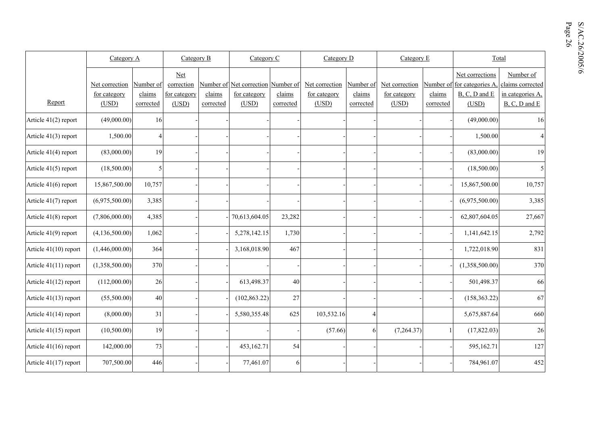|                       | Category A                              |                                  | Category B<br>Category C                          |                     |                                                             | Category D<br>Category E |                                         |                                  |                                         | Total               |                                                                             |                                                                        |
|-----------------------|-----------------------------------------|----------------------------------|---------------------------------------------------|---------------------|-------------------------------------------------------------|--------------------------|-----------------------------------------|----------------------------------|-----------------------------------------|---------------------|-----------------------------------------------------------------------------|------------------------------------------------------------------------|
| Report                | Net correction<br>for category<br>(USD) | Number of<br>claims<br>corrected | <b>Net</b><br>correction<br>for category<br>(USD) | claims<br>corrected | Number of Net correction Number of<br>for category<br>(USD) | claims<br>corrected      | Net correction<br>for category<br>(USD) | Number of<br>claims<br>corrected | Net correction<br>for category<br>(USD) | claims<br>corrected | Net corrections<br>Number of for categories A<br>$B, C, D$ and $E$<br>(USD) | Number of<br>claims corrected<br>in categories A.<br>$B, C, D$ and $E$ |
| Article 41(2) report  | (49,000.00)                             | 16                               |                                                   |                     |                                                             |                          |                                         |                                  |                                         |                     | (49,000.00)                                                                 | 16                                                                     |
| Article 41(3) report  | 1,500.00                                | Δ                                |                                                   |                     |                                                             |                          |                                         |                                  |                                         |                     | 1,500.00                                                                    | 4                                                                      |
| Article 41(4) report  | (83,000.00)                             | 19                               |                                                   |                     |                                                             |                          |                                         |                                  |                                         |                     | (83,000.00)                                                                 | 19                                                                     |
| Article 41(5) report  | (18,500.00)                             | 5                                |                                                   |                     |                                                             |                          |                                         |                                  |                                         |                     | (18,500.00)                                                                 | 5                                                                      |
| Article 41(6) report  | 15,867,500.00                           | 10,757                           |                                                   |                     |                                                             |                          |                                         |                                  |                                         |                     | 15,867,500.00                                                               | 10,757                                                                 |
| Article 41(7) report  | (6,975,500.00)                          | 3,385                            |                                                   |                     |                                                             |                          |                                         |                                  |                                         |                     | (6,975,500.00)                                                              | 3,385                                                                  |
| Article 41(8) report  | (7,806,000.00)                          | 4,385                            |                                                   |                     | 70,613,604.05                                               | 23,282                   |                                         |                                  |                                         |                     | 62,807,604.05                                                               | 27,667                                                                 |
| Article 41(9) report  | (4,136,500.00)                          | 1,062                            |                                                   |                     | 5,278,142.15                                                | 1,730                    |                                         |                                  |                                         |                     | 1,141,642.15                                                                | 2,792                                                                  |
| Article 41(10) report | (1,446,000.00)                          | 364                              |                                                   |                     | 3,168,018.90                                                | 467                      |                                         |                                  |                                         |                     | 1,722,018.90                                                                | 831                                                                    |
| Article 41(11) report | (1,358,500.00)                          | 370                              |                                                   |                     |                                                             |                          |                                         |                                  |                                         |                     | (1,358,500.00)                                                              | 370                                                                    |
| Article 41(12) report | (112,000.00)                            | 26                               |                                                   |                     | 613,498.37                                                  | 40                       |                                         |                                  |                                         |                     | 501,498.37                                                                  | 66                                                                     |
| Article 41(13) report | (55,500.00)                             | 40                               |                                                   |                     | (102, 863.22)                                               | $27\,$                   |                                         |                                  |                                         |                     | (158, 363.22)                                                               | 67                                                                     |
| Article 41(14) report | (8,000.00)                              | 31                               |                                                   |                     | 5,580,355.48                                                | 625                      | 103,532.16                              | $\overline{4}$                   |                                         |                     | 5,675,887.64                                                                | 660                                                                    |
| Article 41(15) report | (10,500.00)                             | 19                               |                                                   |                     |                                                             |                          | (57.66)                                 | 6                                | (7,264.37)                              | $\overline{1}$      | (17, 822.03)                                                                | 26                                                                     |
| Article 41(16) report | 142,000.00                              | 73                               |                                                   |                     | 453,162.71                                                  | 54                       |                                         |                                  |                                         |                     | 595,162.71                                                                  | 127                                                                    |
| Article 41(17) report | 707,500.00                              | 446                              |                                                   |                     | 77,461.07                                                   | 6                        |                                         |                                  |                                         |                     | 784,961.07                                                                  | 452                                                                    |